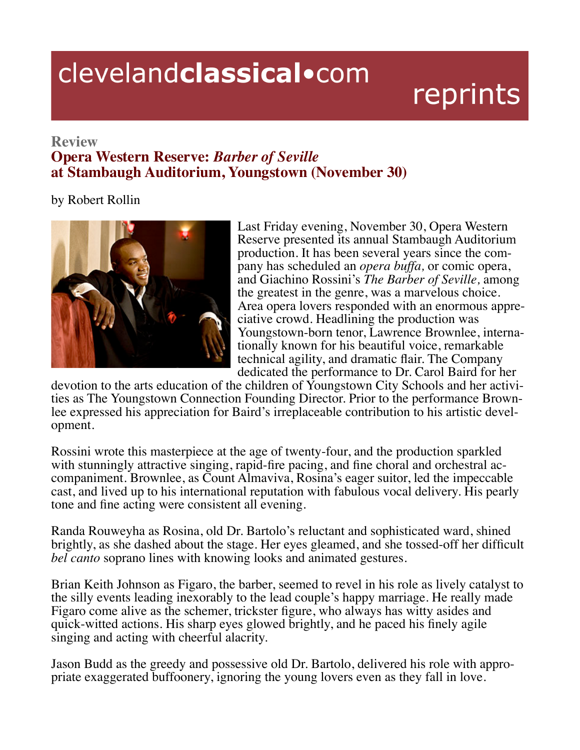## clevelandclassical.com

## reprints

## **Review**

## **Opera Western Reserve: Barber of Seville** at Stambaugh Auditorium, Youngstown (November 30)

by Robert Rollin



Last Friday evening, November 30, Opera Western Reserve presented its annual Stambaugh Auditorium production. It has been several years since the company has scheduled an *opera buffa*, or comic opera, and Giachino Rossini's The Barber of Seville, among the greatest in the genre, was a marvelous choice. Area opera lovers responded with an enormous appreciative crowd. Headlining the production was Youngstown-born tenor, Lawrence Brownlee, internationally known for his beautiful voice, remarkable technical agility, and dramatic flair. The Company dedicated the performance to Dr. Carol Baird for her

devotion to the arts education of the children of Youngstown City Schools and her activities as The Youngstown Connection Founding Director. Prior to the performance Brownlee expressed his appreciation for Baird's irreplaceable contribution to his artistic development.

Rossini wrote this masterpiece at the age of twenty-four, and the production sparkled with stunningly attractive singing, rapid-fire pacing, and fine choral and orchestral accompaniment. Brownlee, as Count Almaviva, Rosina's eager suitor, led the impeccable cast, and lived up to his international reputation with fabulous vocal delivery. His pearly tone and fine acting were consistent all evening.

Randa Rouweyha as Rosina, old Dr. Bartolo's reluctant and sophisticated ward, shined brightly, as she dashed about the stage. Her eyes gleamed, and she tossed-off her difficult *bel canto* soprano lines with knowing looks and animated gestures.

Brian Keith Johnson as Figaro, the barber, seemed to revel in his role as lively catalyst to the silly events leading inexorably to the lead couple's happy marriage. He really made Figaro come alive as the schemer, trickster figure, who always has witty asides and quick-witted actions. His sharp eyes glowed brightly, and he paced his finely agile singing and acting with cheerful alacrity.

Jason Budd as the greedy and possessive old Dr. Bartolo, delivered his role with appropriate exaggerated buffoonery, ignoring the young lovers even as they fall in love.